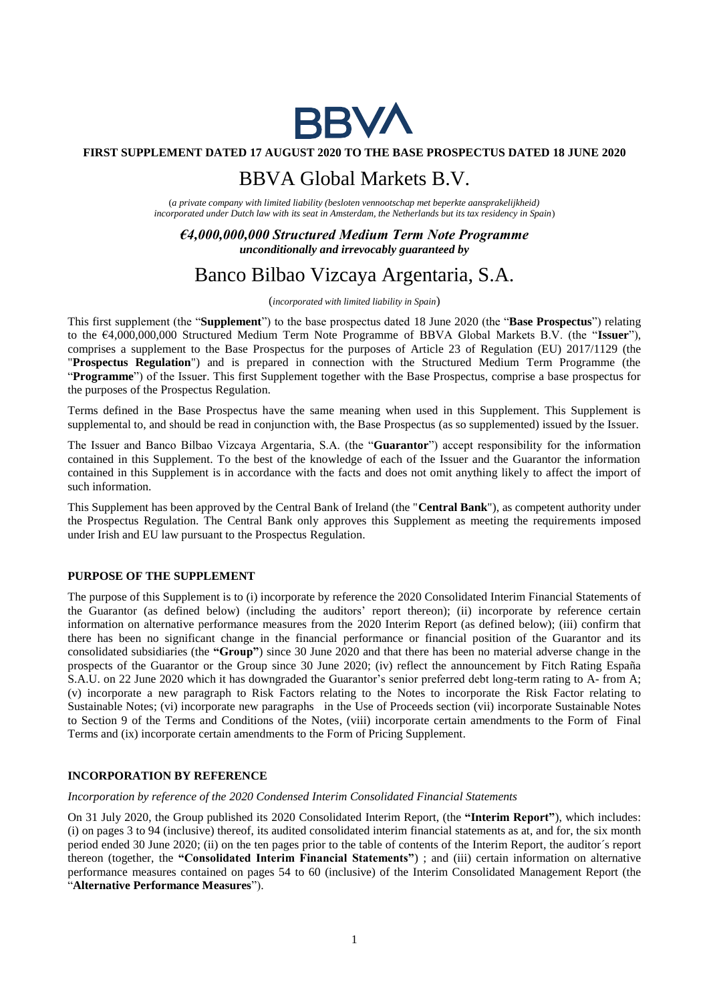

# **FIRST SUPPLEMENT DATED 17 AUGUST 2020 TO THE BASE PROSPECTUS DATED 18 JUNE 2020**

# BBVA Global Markets B.V.

(*a private company with limited liability (besloten vennootschap met beperkte aansprakelijkheid) incorporated under Dutch law with its seat in Amsterdam, the Netherlands but its tax residency in Spain*)

# *€4,000,000,000 Structured Medium Term Note Programme unconditionally and irrevocably guaranteed by*

# Banco Bilbao Vizcaya Argentaria, S.A.

(*incorporated with limited liability in Spain*)

This first supplement (the "**Supplement**") to the base prospectus dated 18 June 2020 (the "**Base Prospectus**") relating to the €4,000,000,000 Structured Medium Term Note Programme of BBVA Global Markets B.V. (the "**Issuer**"), comprises a supplement to the Base Prospectus for the purposes of Article 23 of Regulation (EU) 2017/1129 (the "**Prospectus Regulation**") and is prepared in connection with the Structured Medium Term Programme (the "**Programme**") of the Issuer. This first Supplement together with the Base Prospectus, comprise a base prospectus for the purposes of the Prospectus Regulation.

Terms defined in the Base Prospectus have the same meaning when used in this Supplement. This Supplement is supplemental to, and should be read in conjunction with, the Base Prospectus (as so supplemented) issued by the Issuer.

The Issuer and Banco Bilbao Vizcaya Argentaria, S.A. (the "**Guarantor**") accept responsibility for the information contained in this Supplement. To the best of the knowledge of each of the Issuer and the Guarantor the information contained in this Supplement is in accordance with the facts and does not omit anything likely to affect the import of such information.

This Supplement has been approved by the Central Bank of Ireland (the "**Central Bank**"), as competent authority under the Prospectus Regulation. The Central Bank only approves this Supplement as meeting the requirements imposed under Irish and EU law pursuant to the Prospectus Regulation.

## **PURPOSE OF THE SUPPLEMENT**

The purpose of this Supplement is to (i) incorporate by reference the 2020 Consolidated Interim Financial Statements of the Guarantor (as defined below) (including the auditors' report thereon); (ii) incorporate by reference certain information on alternative performance measures from the 2020 Interim Report (as defined below); (iii) confirm that there has been no significant change in the financial performance or financial position of the Guarantor and its consolidated subsidiaries (the **"Group"**) since 30 June 2020 and that there has been no material adverse change in the prospects of the Guarantor or the Group since 30 June 2020; (iv) reflect the announcement by Fitch Rating España S.A.U. on 22 June 2020 which it has downgraded the Guarantor's senior preferred debt long-term rating to A- from A; (v) incorporate a new paragraph to Risk Factors relating to the Notes to incorporate the Risk Factor relating to Sustainable Notes; (vi) incorporate new paragraphs in the Use of Proceeds section (vii) incorporate Sustainable Notes to Section 9 of the Terms and Conditions of the Notes, (viii) incorporate certain amendments to the Form of Final Terms and (ix) incorporate certain amendments to the Form of Pricing Supplement.

# **INCORPORATION BY REFERENCE**

#### *Incorporation by reference of the 2020 Condensed Interim Consolidated Financial Statements*

On 31 July 2020, the Group published its 2020 Consolidated Interim Report, (the **"Interim Report"**), which includes: (i) on pages 3 to 94 (inclusive) thereof, its audited consolidated interim financial statements as at, and for, the six month period ended 30 June 2020; (ii) on the ten pages prior to the table of contents of the Interim Report, the auditor´s report thereon (together, the **"Consolidated Interim Financial Statements"**) ; and (iii) certain information on alternative performance measures contained on pages 54 to 60 (inclusive) of the Interim Consolidated Management Report (the "**Alternative Performance Measures**").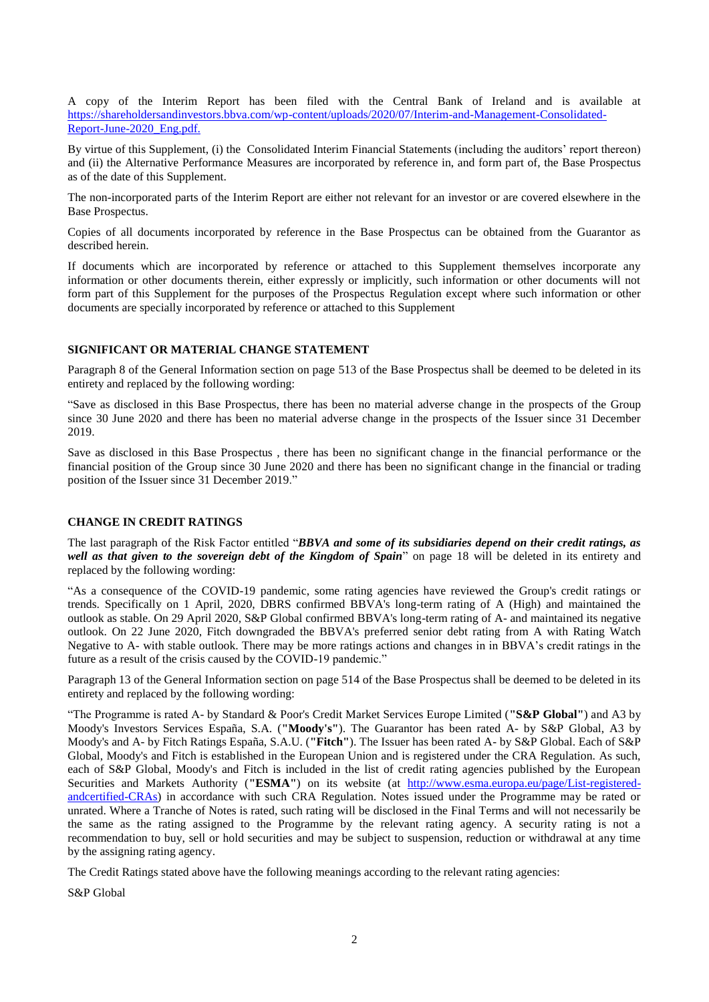A copy of the Interim Report has been filed with the Central Bank of Ireland and is available at [https://shareholdersandinvestors.bbva.com/wp-content/uploads/2020/07/Interim-and-Management-Consolidated-](https://shareholdersandinvestors.bbva.com/wp-content/uploads/2020/07/Interim-and-Management-Consolidated-Report-June-2020_Eng.pdf)Report-June-2020 Eng.pdf.

By virtue of this Supplement, (i) the Consolidated Interim Financial Statements (including the auditors' report thereon) and (ii) the Alternative Performance Measures are incorporated by reference in, and form part of, the Base Prospectus as of the date of this Supplement.

The non-incorporated parts of the Interim Report are either not relevant for an investor or are covered elsewhere in the Base Prospectus.

Copies of all documents incorporated by reference in the Base Prospectus can be obtained from the Guarantor as described herein.

If documents which are incorporated by reference or attached to this Supplement themselves incorporate any information or other documents therein, either expressly or implicitly, such information or other documents will not form part of this Supplement for the purposes of the Prospectus Regulation except where such information or other documents are specially incorporated by reference or attached to this Supplement

# **SIGNIFICANT OR MATERIAL CHANGE STATEMENT**

Paragraph 8 of the General Information section on page 513 of the Base Prospectus shall be deemed to be deleted in its entirety and replaced by the following wording:

"Save as disclosed in this Base Prospectus, there has been no material adverse change in the prospects of the Group since 30 June 2020 and there has been no material adverse change in the prospects of the Issuer since 31 December 2019.

Save as disclosed in this Base Prospectus , there has been no significant change in the financial performance or the financial position of the Group since 30 June 2020 and there has been no significant change in the financial or trading position of the Issuer since 31 December 2019."

#### **CHANGE IN CREDIT RATINGS**

The last paragraph of the Risk Factor entitled "*BBVA and some of its subsidiaries depend on their credit ratings, as well as that given to the sovereign debt of the Kingdom of Spain*" on page 18 will be deleted in its entirety and replaced by the following wording:

"As a consequence of the COVID-19 pandemic, some rating agencies have reviewed the Group's credit ratings or trends. Specifically on 1 April, 2020, DBRS confirmed BBVA's long-term rating of A (High) and maintained the outlook as stable. On 29 April 2020, S&P Global confirmed BBVA's long-term rating of A- and maintained its negative outlook. On 22 June 2020, Fitch downgraded the BBVA's preferred senior debt rating from A with Rating Watch Negative to A- with stable outlook. There may be more ratings actions and changes in in BBVA's credit ratings in the future as a result of the crisis caused by the COVID-19 pandemic."

Paragraph 13 of the General Information section on page 514 of the Base Prospectus shall be deemed to be deleted in its entirety and replaced by the following wording:

"The Programme is rated A- by Standard & Poor's Credit Market Services Europe Limited (**"S&P Global"**) and A3 by Moody's Investors Services España, S.A. (**"Moody's"**). The Guarantor has been rated A- by S&P Global, A3 by Moody's and A- by Fitch Ratings España, S.A.U. (**"Fitch"**). The Issuer has been rated A- by S&P Global. Each of S&P Global, Moody's and Fitch is established in the European Union and is registered under the CRA Regulation. As such, each of S&P Global, Moody's and Fitch is included in the list of credit rating agencies published by the European Securities and Markets Authority ("ESMA") on its website (at [http://www.esma.europa.eu/page/List-registered](http://www.esma.europa.eu/page/List-registered-andcertified-CRAs)[andcertified-CRAs\)](http://www.esma.europa.eu/page/List-registered-andcertified-CRAs) in accordance with such CRA Regulation. Notes issued under the Programme may be rated or unrated. Where a Tranche of Notes is rated, such rating will be disclosed in the Final Terms and will not necessarily be the same as the rating assigned to the Programme by the relevant rating agency. A security rating is not a recommendation to buy, sell or hold securities and may be subject to suspension, reduction or withdrawal at any time by the assigning rating agency.

The Credit Ratings stated above have the following meanings according to the relevant rating agencies:

S&P Global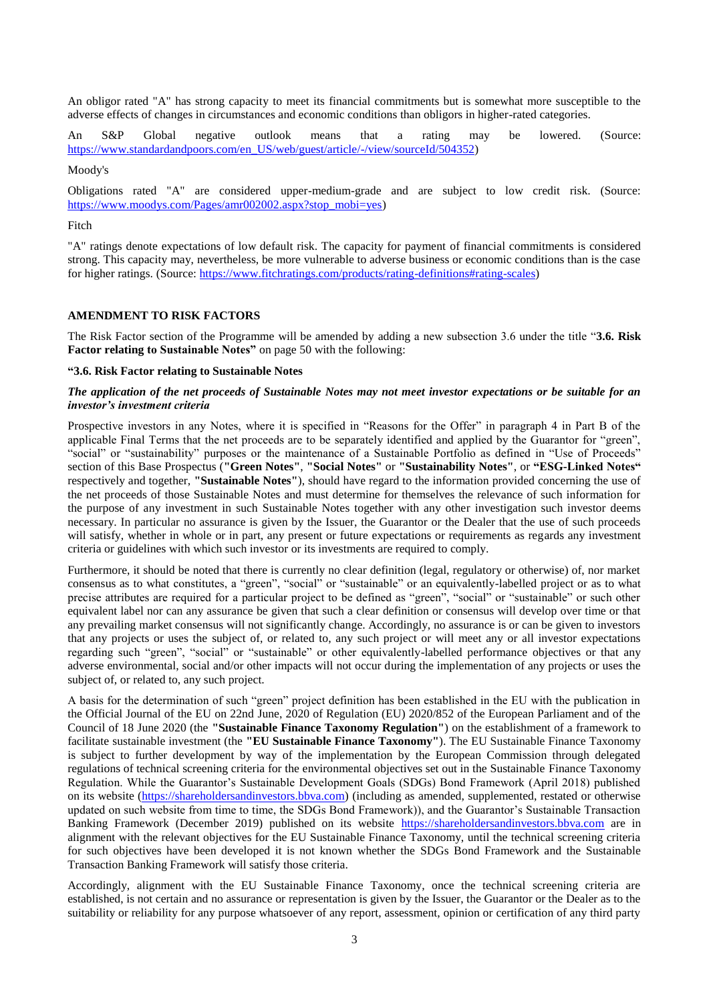An obligor rated "A" has strong capacity to meet its financial commitments but is somewhat more susceptible to the adverse effects of changes in circumstances and economic conditions than obligors in higher-rated categories.

An S&P Global negative outlook means that a rating may be lowered. (Source: [https://www.standardandpoors.com/en\\_US/web/guest/article/-/view/sourceId/504352\)](https://www.standardandpoors.com/en_US/web/guest/article/-/view/sourceId/504352)

Moody's

Obligations rated "A" are considered upper-medium-grade and are subject to low credit risk. (Source: [https://www.moodys.com/Pages/amr002002.aspx?stop\\_mobi=yes\)](https://www.moodys.com/Pages/amr002002.aspx?stop_mobi=yes)

#### Fitch

"A" ratings denote expectations of low default risk. The capacity for payment of financial commitments is considered strong. This capacity may, nevertheless, be more vulnerable to adverse business or economic conditions than is the case for higher ratings. (Source[: https://www.fitchratings.com/products/rating-definitions#rating-scales\)](https://www.fitchratings.com/products/rating-definitions#rating-scales)

## **AMENDMENT TO RISK FACTORS**

The Risk Factor section of the Programme will be amended by adding a new subsection 3.6 under the title "**3.6. Risk Factor relating to Sustainable Notes"** on page 50 with the following:

#### **"3.6. Risk Factor relating to Sustainable Notes**

#### *The application of the net proceeds of Sustainable Notes may not meet investor expectations or be suitable for an investor's investment criteria*

Prospective investors in any Notes, where it is specified in "Reasons for the Offer" in paragraph 4 in Part B of the applicable Final Terms that the net proceeds are to be separately identified and applied by the Guarantor for "green", "social" or "sustainability" purposes or the maintenance of a Sustainable Portfolio as defined in "Use of Proceeds" section of this Base Prospectus (**"Green Notes"**, **"Social Notes"** or **"Sustainability Notes"**, or **"ESG-Linked Notes"** respectively and together, **"Sustainable Notes"**), should have regard to the information provided concerning the use of the net proceeds of those Sustainable Notes and must determine for themselves the relevance of such information for the purpose of any investment in such Sustainable Notes together with any other investigation such investor deems necessary. In particular no assurance is given by the Issuer, the Guarantor or the Dealer that the use of such proceeds will satisfy, whether in whole or in part, any present or future expectations or requirements as regards any investment criteria or guidelines with which such investor or its investments are required to comply.

Furthermore, it should be noted that there is currently no clear definition (legal, regulatory or otherwise) of, nor market consensus as to what constitutes, a "green", "social" or "sustainable" or an equivalently-labelled project or as to what precise attributes are required for a particular project to be defined as "green", "social" or "sustainable" or such other equivalent label nor can any assurance be given that such a clear definition or consensus will develop over time or that any prevailing market consensus will not significantly change. Accordingly, no assurance is or can be given to investors that any projects or uses the subject of, or related to, any such project or will meet any or all investor expectations regarding such "green", "social" or "sustainable" or other equivalently-labelled performance objectives or that any adverse environmental, social and/or other impacts will not occur during the implementation of any projects or uses the subject of, or related to, any such project.

A basis for the determination of such "green" project definition has been established in the EU with the publication in the Official Journal of the EU on 22nd June, 2020 of Regulation (EU) 2020/852 of the European Parliament and of the Council of 18 June 2020 (the **"Sustainable Finance Taxonomy Regulation"**) on the establishment of a framework to facilitate sustainable investment (the **"EU Sustainable Finance Taxonomy"**). The EU Sustainable Finance Taxonomy is subject to further development by way of the implementation by the European Commission through delegated regulations of technical screening criteria for the environmental objectives set out in the Sustainable Finance Taxonomy Regulation. While the Guarantor's Sustainable Development Goals (SDGs) Bond Framework (April 2018) published on its website [\(https://shareholdersandinvestors.bbva.com\)](https://shareholdersandinvestors.bbva.com/) (including as amended, supplemented, restated or otherwise updated on such website from time to time, the SDGs Bond Framework)), and the Guarantor's Sustainable Transaction Banking Framework (December 2019) published on its website [https://shareholdersandinvestors.bbva.com](https://shareholdersandinvestors.bbva.com/) are in alignment with the relevant objectives for the EU Sustainable Finance Taxonomy, until the technical screening criteria for such objectives have been developed it is not known whether the SDGs Bond Framework and the Sustainable Transaction Banking Framework will satisfy those criteria.

Accordingly, alignment with the EU Sustainable Finance Taxonomy, once the technical screening criteria are established, is not certain and no assurance or representation is given by the Issuer, the Guarantor or the Dealer as to the suitability or reliability for any purpose whatsoever of any report, assessment, opinion or certification of any third party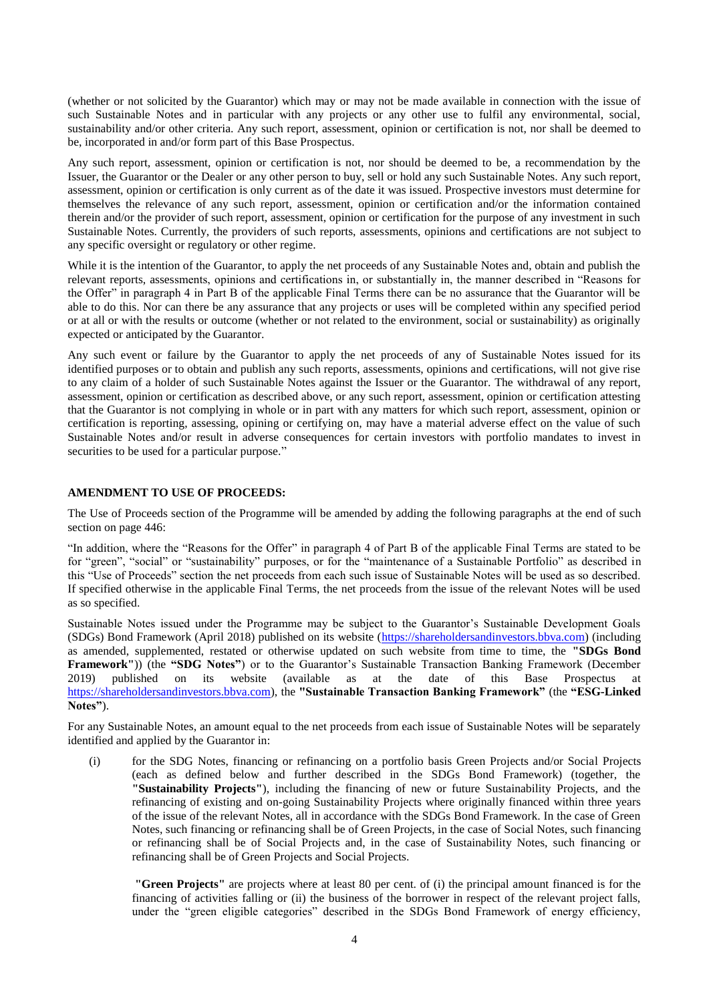(whether or not solicited by the Guarantor) which may or may not be made available in connection with the issue of such Sustainable Notes and in particular with any projects or any other use to fulfil any environmental, social, sustainability and/or other criteria. Any such report, assessment, opinion or certification is not, nor shall be deemed to be, incorporated in and/or form part of this Base Prospectus.

Any such report, assessment, opinion or certification is not, nor should be deemed to be, a recommendation by the Issuer, the Guarantor or the Dealer or any other person to buy, sell or hold any such Sustainable Notes. Any such report, assessment, opinion or certification is only current as of the date it was issued. Prospective investors must determine for themselves the relevance of any such report, assessment, opinion or certification and/or the information contained therein and/or the provider of such report, assessment, opinion or certification for the purpose of any investment in such Sustainable Notes. Currently, the providers of such reports, assessments, opinions and certifications are not subject to any specific oversight or regulatory or other regime.

While it is the intention of the Guarantor, to apply the net proceeds of any Sustainable Notes and, obtain and publish the relevant reports, assessments, opinions and certifications in, or substantially in, the manner described in "Reasons for the Offer" in paragraph 4 in Part B of the applicable Final Terms there can be no assurance that the Guarantor will be able to do this. Nor can there be any assurance that any projects or uses will be completed within any specified period or at all or with the results or outcome (whether or not related to the environment, social or sustainability) as originally expected or anticipated by the Guarantor.

Any such event or failure by the Guarantor to apply the net proceeds of any of Sustainable Notes issued for its identified purposes or to obtain and publish any such reports, assessments, opinions and certifications, will not give rise to any claim of a holder of such Sustainable Notes against the Issuer or the Guarantor. The withdrawal of any report, assessment, opinion or certification as described above, or any such report, assessment, opinion or certification attesting that the Guarantor is not complying in whole or in part with any matters for which such report, assessment, opinion or certification is reporting, assessing, opining or certifying on, may have a material adverse effect on the value of such Sustainable Notes and/or result in adverse consequences for certain investors with portfolio mandates to invest in securities to be used for a particular purpose."

#### **AMENDMENT TO USE OF PROCEEDS:**

The Use of Proceeds section of the Programme will be amended by adding the following paragraphs at the end of such section on page 446:

"In addition, where the "Reasons for the Offer" in paragraph 4 of Part B of the applicable Final Terms are stated to be for "green", "social" or "sustainability" purposes, or for the "maintenance of a Sustainable Portfolio" as described in this "Use of Proceeds" section the net proceeds from each such issue of Sustainable Notes will be used as so described. If specified otherwise in the applicable Final Terms, the net proceeds from the issue of the relevant Notes will be used as so specified.

Sustainable Notes issued under the Programme may be subject to the Guarantor's Sustainable Development Goals (SDGs) Bond Framework (April 2018) published on its website [\(https://shareholdersandinvestors.bbva.com\)](https://shareholdersandinvestors.bbva.com/) (including as amended, supplemented, restated or otherwise updated on such website from time to time, the **"SDGs Bond Framework"**)) (the **"SDG Notes"**) or to the Guarantor's Sustainable Transaction Banking Framework (December 2019) published on its website (available as at the date of this Base Prospectus at [https://shareholdersandinvestors.bbva.com\)](https://shareholdersandinvestors.bbva.com/), the **"Sustainable Transaction Banking Framework"** (the **"ESG-Linked Notes"**).

For any Sustainable Notes, an amount equal to the net proceeds from each issue of Sustainable Notes will be separately identified and applied by the Guarantor in:

(i) for the SDG Notes, financing or refinancing on a portfolio basis Green Projects and/or Social Projects (each as defined below and further described in the SDGs Bond Framework) (together, the **"Sustainability Projects"**), including the financing of new or future Sustainability Projects, and the refinancing of existing and on-going Sustainability Projects where originally financed within three years of the issue of the relevant Notes, all in accordance with the SDGs Bond Framework. In the case of Green Notes, such financing or refinancing shall be of Green Projects, in the case of Social Notes, such financing or refinancing shall be of Social Projects and, in the case of Sustainability Notes, such financing or refinancing shall be of Green Projects and Social Projects.

**"Green Projects"** are projects where at least 80 per cent. of (i) the principal amount financed is for the financing of activities falling or (ii) the business of the borrower in respect of the relevant project falls, under the "green eligible categories" described in the SDGs Bond Framework of energy efficiency,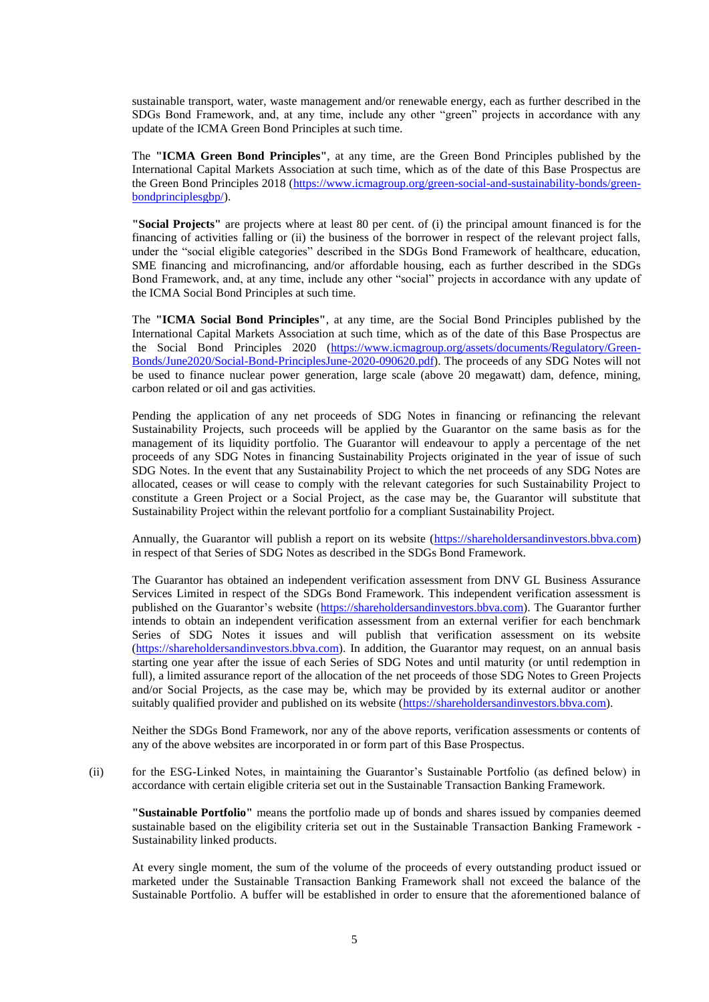sustainable transport, water, waste management and/or renewable energy, each as further described in the SDGs Bond Framework, and, at any time, include any other "green" projects in accordance with any update of the ICMA Green Bond Principles at such time.

The **"ICMA Green Bond Principles"**, at any time, are the Green Bond Principles published by the International Capital Markets Association at such time, which as of the date of this Base Prospectus are the Green Bond Principles 2018 [\(https://www.icmagroup.org/green-social-and-sustainability-bonds/green](https://www.icmagroup.org/green-social-and-sustainability-bonds/green-bondprinciplesgbp/)[bondprinciplesgbp/\)](https://www.icmagroup.org/green-social-and-sustainability-bonds/green-bondprinciplesgbp/).

**"Social Projects"** are projects where at least 80 per cent. of (i) the principal amount financed is for the financing of activities falling or (ii) the business of the borrower in respect of the relevant project falls, under the "social eligible categories" described in the SDGs Bond Framework of healthcare, education, SME financing and microfinancing, and/or affordable housing, each as further described in the SDGs Bond Framework, and, at any time, include any other "social" projects in accordance with any update of the ICMA Social Bond Principles at such time.

The **"ICMA Social Bond Principles"**, at any time, are the Social Bond Principles published by the International Capital Markets Association at such time, which as of the date of this Base Prospectus are the Social Bond Principles 2020 [\(https://www.icmagroup.org/assets/documents/Regulatory/Green-](https://www.icmagroup.org/assets/documents/Regulatory/Green-Bonds/June2020/Social-Bond-PrinciplesJune-2020-090620.pdf)[Bonds/June2020/Social-Bond-PrinciplesJune-2020-090620.pdf\)](https://www.icmagroup.org/assets/documents/Regulatory/Green-Bonds/June2020/Social-Bond-PrinciplesJune-2020-090620.pdf). The proceeds of any SDG Notes will not be used to finance nuclear power generation, large scale (above 20 megawatt) dam, defence, mining, carbon related or oil and gas activities.

Pending the application of any net proceeds of SDG Notes in financing or refinancing the relevant Sustainability Projects, such proceeds will be applied by the Guarantor on the same basis as for the management of its liquidity portfolio. The Guarantor will endeavour to apply a percentage of the net proceeds of any SDG Notes in financing Sustainability Projects originated in the year of issue of such SDG Notes. In the event that any Sustainability Project to which the net proceeds of any SDG Notes are allocated, ceases or will cease to comply with the relevant categories for such Sustainability Project to constitute a Green Project or a Social Project, as the case may be, the Guarantor will substitute that Sustainability Project within the relevant portfolio for a compliant Sustainability Project.

Annually, the Guarantor will publish a report on its website [\(https://shareholdersandinvestors.bbva.com\)](https://shareholdersandinvestors.bbva.com/) in respect of that Series of SDG Notes as described in the SDGs Bond Framework.

The Guarantor has obtained an independent verification assessment from DNV GL Business Assurance Services Limited in respect of the SDGs Bond Framework. This independent verification assessment is published on the Guarantor's website [\(https://shareholdersandinvestors.bbva.com\)](https://shareholdersandinvestors.bbva.com/). The Guarantor further intends to obtain an independent verification assessment from an external verifier for each benchmark Series of SDG Notes it issues and will publish that verification assessment on its website [\(https://shareholdersandinvestors.bbva.com\)](https://shareholdersandinvestors.bbva.com/). In addition, the Guarantor may request, on an annual basis starting one year after the issue of each Series of SDG Notes and until maturity (or until redemption in full), a limited assurance report of the allocation of the net proceeds of those SDG Notes to Green Projects and/or Social Projects, as the case may be, which may be provided by its external auditor or another suitably qualified provider and published on its website [\(https://shareholdersandinvestors.bbva.com\)](https://shareholdersandinvestors.bbva.com/).

Neither the SDGs Bond Framework, nor any of the above reports, verification assessments or contents of any of the above websites are incorporated in or form part of this Base Prospectus.

(ii) for the ESG-Linked Notes, in maintaining the Guarantor's Sustainable Portfolio (as defined below) in accordance with certain eligible criteria set out in the Sustainable Transaction Banking Framework.

**"Sustainable Portfolio"** means the portfolio made up of bonds and shares issued by companies deemed sustainable based on the eligibility criteria set out in the Sustainable Transaction Banking Framework - Sustainability linked products.

At every single moment, the sum of the volume of the proceeds of every outstanding product issued or marketed under the Sustainable Transaction Banking Framework shall not exceed the balance of the Sustainable Portfolio. A buffer will be established in order to ensure that the aforementioned balance of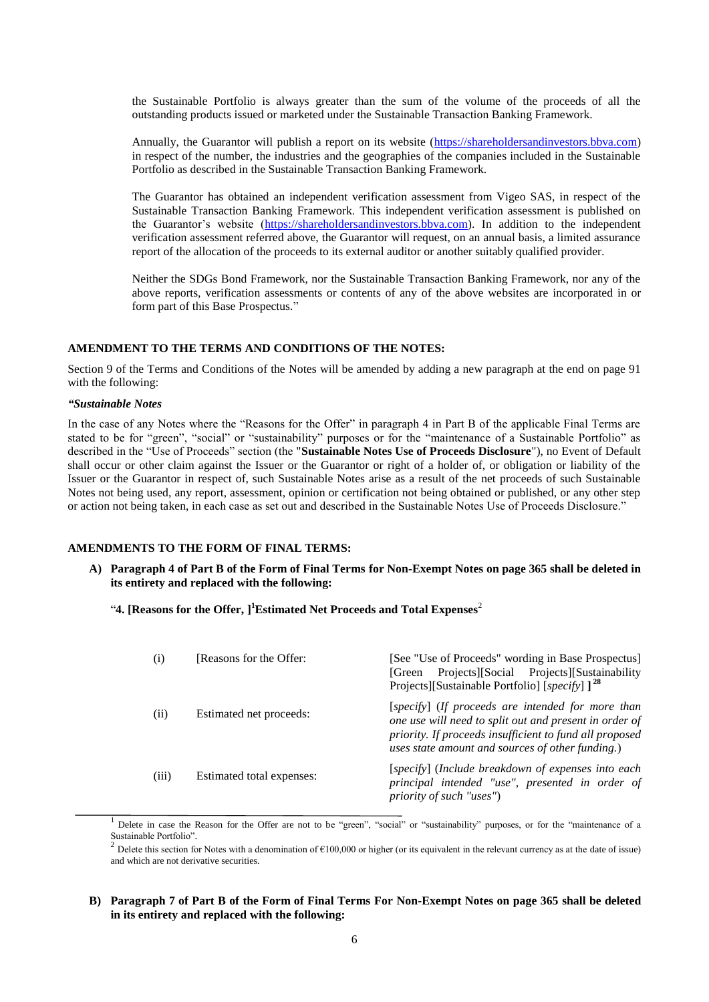the Sustainable Portfolio is always greater than the sum of the volume of the proceeds of all the outstanding products issued or marketed under the Sustainable Transaction Banking Framework.

Annually, the Guarantor will publish a report on its website [\(https://shareholdersandinvestors.bbva.com\)](https://shareholdersandinvestors.bbva.com/) in respect of the number, the industries and the geographies of the companies included in the Sustainable Portfolio as described in the Sustainable Transaction Banking Framework.

The Guarantor has obtained an independent verification assessment from Vigeo SAS, in respect of the Sustainable Transaction Banking Framework. This independent verification assessment is published on the Guarantor's website [\(https://shareholdersandinvestors.bbva.com\)](https://shareholdersandinvestors.bbva.com/). In addition to the independent verification assessment referred above, the Guarantor will request, on an annual basis, a limited assurance report of the allocation of the proceeds to its external auditor or another suitably qualified provider.

Neither the SDGs Bond Framework, nor the Sustainable Transaction Banking Framework, nor any of the above reports, verification assessments or contents of any of the above websites are incorporated in or form part of this Base Prospectus."

#### **AMENDMENT TO THE TERMS AND CONDITIONS OF THE NOTES:**

Section 9 of the Terms and Conditions of the Notes will be amended by adding a new paragraph at the end on page 91 with the following:

#### *"Sustainable Notes*

In the case of any Notes where the "Reasons for the Offer" in paragraph 4 in Part B of the applicable Final Terms are stated to be for "green", "social" or "sustainability" purposes or for the "maintenance of a Sustainable Portfolio" as described in the "Use of Proceeds" section (the "**Sustainable Notes Use of Proceeds Disclosure**"), no Event of Default shall occur or other claim against the Issuer or the Guarantor or right of a holder of, or obligation or liability of the Issuer or the Guarantor in respect of, such Sustainable Notes arise as a result of the net proceeds of such Sustainable Notes not being used, any report, assessment, opinion or certification not being obtained or published, or any other step or action not being taken, in each case as set out and described in the Sustainable Notes Use of Proceeds Disclosure."

### **AMENDMENTS TO THE FORM OF FINAL TERMS:**

**A) Paragraph 4 of Part B of the Form of Final Terms for Non-Exempt Notes on page 365 shall be deleted in its entirety and replaced with the following:**

"4. [Reasons for the Offer, ]<sup>1</sup>Estimated Net Proceeds and Total Expenses<sup>2</sup>

| (i)   | Reasons for the Offer:    | [See "Use of Proceeds" wording in Base Prospectus]<br>Projects][Social Projects][Sustainability<br>[Green]<br>Projects][Sustainable Portfolio] [specify] $1^{28}$                                                          |
|-------|---------------------------|----------------------------------------------------------------------------------------------------------------------------------------------------------------------------------------------------------------------------|
| (ii)  | Estimated net proceeds:   | [specify] (If proceeds are intended for more than<br>one use will need to split out and present in order of<br>priority. If proceeds insufficient to fund all proposed<br>uses state amount and sources of other funding.) |
| (iii) | Estimated total expenses: | [specify] (Include breakdown of expenses into each<br>principal intended "use", presented in order of<br><i>priority of such "uses"</i> )                                                                                  |

<sup>1</sup> Delete in case the Reason for the Offer are not to be "green", "social" or "sustainability" purposes, or for the "maintenance of a Sustainable Portfolio".

<sup>2</sup> Delete this section for Notes with a denomination of  $\epsilon$ 100,000 or higher (or its equivalent in the relevant currency as at the date of issue) and which are not derivative securities.

### **B) Paragraph 7 of Part B of the Form of Final Terms For Non-Exempt Notes on page 365 shall be deleted in its entirety and replaced with the following:**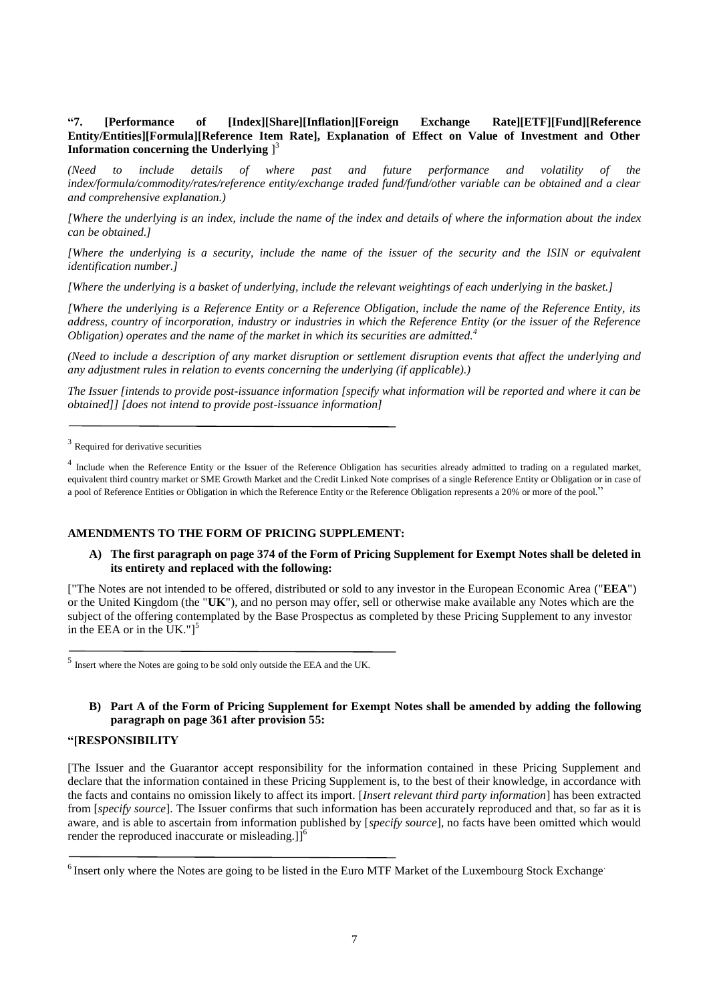# **"7. [Performance of [Index][Share][Inflation][Foreign Exchange Rate][ETF][Fund][Reference Entity/Entities][Formula][Reference Item Rate], Explanation of Effect on Value of Investment and Other Information concerning the Underlying** ] 3

*(Need to include details of where past and future performance and volatility of the index/formula/commodity/rates/reference entity/exchange traded fund/fund/other variable can be obtained and a clear and comprehensive explanation.)* 

*[Where the underlying is an index, include the name of the index and details of where the information about the index can be obtained.]*

*[Where the underlying is a security, include the name of the issuer of the security and the ISIN or equivalent identification number.]* 

*[Where the underlying is a basket of underlying, include the relevant weightings of each underlying in the basket.]* 

*[Where the underlying is a Reference Entity or a Reference Obligation, include the name of the Reference Entity, its address, country of incorporation, industry or industries in which the Reference Entity (or the issuer of the Reference Obligation) operates and the name of the market in which its securities are admitted.<sup>4</sup>*

*(Need to include a description of any market disruption or settlement disruption events that affect the underlying and any adjustment rules in relation to events concerning the underlying (if applicable).)* 

*The Issuer [intends to provide post-issuance information [specify what information will be reported and where it can be obtained]] [does not intend to provide post-issuance information]*

<sup>4</sup> Include when the Reference Entity or the Issuer of the Reference Obligation has securities already admitted to trading on a regulated market, equivalent third country market or SME Growth Market and the Credit Linked Note comprises of a single Reference Entity or Obligation or in case of a pool of Reference Entities or Obligation in which the Reference Entity or the Reference Obligation represents a 20% or more of the pool."

## **AMENDMENTS TO THE FORM OF PRICING SUPPLEMENT:**

### **A) The first paragraph on page 374 of the Form of Pricing Supplement for Exempt Notes shall be deleted in its entirety and replaced with the following:**

["The Notes are not intended to be offered, distributed or sold to any investor in the European Economic Area ("**EEA**") or the United Kingdom (the "**UK**"), and no person may offer, sell or otherwise make available any Notes which are the subject of the offering contemplated by the Base Prospectus as completed by these Pricing Supplement to any investor in the EEA or in the UK." $]$ <sup>5</sup>

<sup>5</sup> Insert where the Notes are going to be sold only outside the EEA and the UK.

# **B) Part A of the Form of Pricing Supplement for Exempt Notes shall be amended by adding the following paragraph on page 361 after provision 55:**

## **"[RESPONSIBILITY**

[The Issuer and the Guarantor accept responsibility for the information contained in these Pricing Supplement and declare that the information contained in these Pricing Supplement is, to the best of their knowledge, in accordance with the facts and contains no omission likely to affect its import. [*Insert relevant third party information*] has been extracted from [*specify source*]. The Issuer confirms that such information has been accurately reproduced and that, so far as it is aware, and is able to ascertain from information published by [*specify source*], no facts have been omitted which would render the reproduced inaccurate or misleading.] $\hat{J}^6$ 

<sup>&</sup>lt;sup>3</sup> Required for derivative securities

<sup>&</sup>lt;sup>6</sup> Insert only where the Notes are going to be listed in the Euro MTF Market of the Luxembourg Stock Exchange<sup>.</sup>